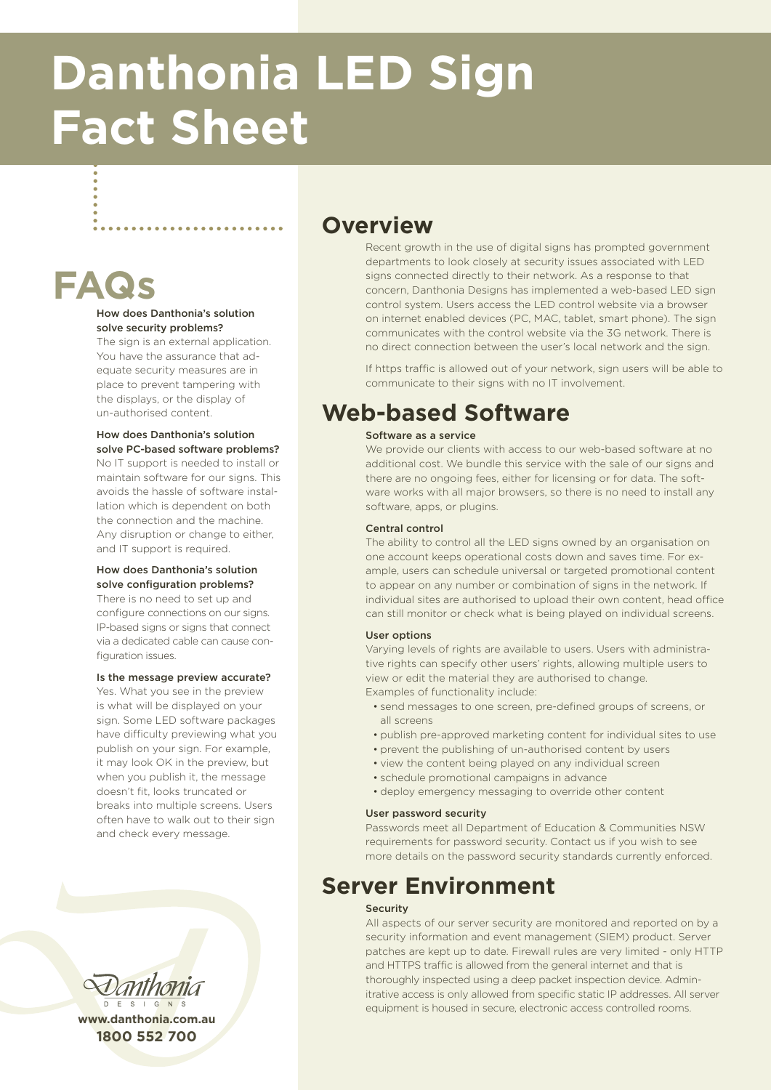# **Danthonia LED Sign Fact Sheet**

## **FAQs**

#### How does Danthonia's solution solve security problems?

The sign is an external application. You have the assurance that adequate security measures are in place to prevent tampering with the displays, or the display of un-authorised content.

#### How does Danthonia's solution solve PC-based software problems?

No IT support is needed to install or maintain software for our signs. This avoids the hassle of software installation which is dependent on both the connection and the machine. Any disruption or change to either, and IT support is required.

#### How does Danthonia's solution solve configuration problems?

There is no need to set up and configure connections on our signs. IP-based signs or signs that connect via a dedicated cable can cause configuration issues.

#### Is the message preview accurate?

Yes. What you see in the preview is what will be displayed on your sign. Some LED software packages have difficulty previewing what you publish on your sign. For example, it may look OK in the preview, but when you publish it, the message doesn't fit, looks truncated or breaks into multiple screens. Users often have to walk out to their sign and check every message.



**www.danthonia.com.au 1800 552 700**

### **Overview**

Recent growth in the use of digital signs has prompted government departments to look closely at security issues associated with LED signs connected directly to their network. As a response to that concern, Danthonia Designs has implemented a web-based LED sign control system. Users access the LED control website via a browser on internet enabled devices (PC, MAC, tablet, smart phone). The sign communicates with the control website via the 3G network. There is no direct connection between the user's local network and the sign.

If https traffic is allowed out of your network, sign users will be able to communicate to their signs with no IT involvement.

## **Web-based Software**

#### Software as a service

We provide our clients with access to our web-based software at no additional cost. We bundle this service with the sale of our signs and there are no ongoing fees, either for licensing or for data. The software works with all major browsers, so there is no need to install any software, apps, or plugins.

#### Central control

The ability to control all the LED signs owned by an organisation on one account keeps operational costs down and saves time. For example, users can schedule universal or targeted promotional content to appear on any number or combination of signs in the network. If individual sites are authorised to upload their own content, head office can still monitor or check what is being played on individual screens.

#### User options

Varying levels of rights are available to users. Users with administrative rights can specify other users' rights, allowing multiple users to view or edit the material they are authorised to change. Examples of functionality include:

- • send messages to one screen, pre-defined groups of screens, or all screens
- publish pre-approved marketing content for individual sites to use
- prevent the publishing of un-authorised content by users
- view the content being played on any individual screen
- schedule promotional campaigns in advance
- deploy emergency messaging to override other content

#### User password security

Passwords meet all Department of Education & Communities NSW requirements for password security. Contact us if you wish to see more details on the password security standards currently enforced.

### **Server Environment**

#### Security

All aspects of our server security are monitored and reported on by a security information and event management (SIEM) product. Server patches are kept up to date. Firewall rules are very limited - only HTTP and HTTPS traffic is allowed from the general internet and that is thoroughly inspected using a deep packet inspection device. Adminitrative access is only allowed from specific static IP addresses. All server equipment is housed in secure, electronic access controlled rooms.